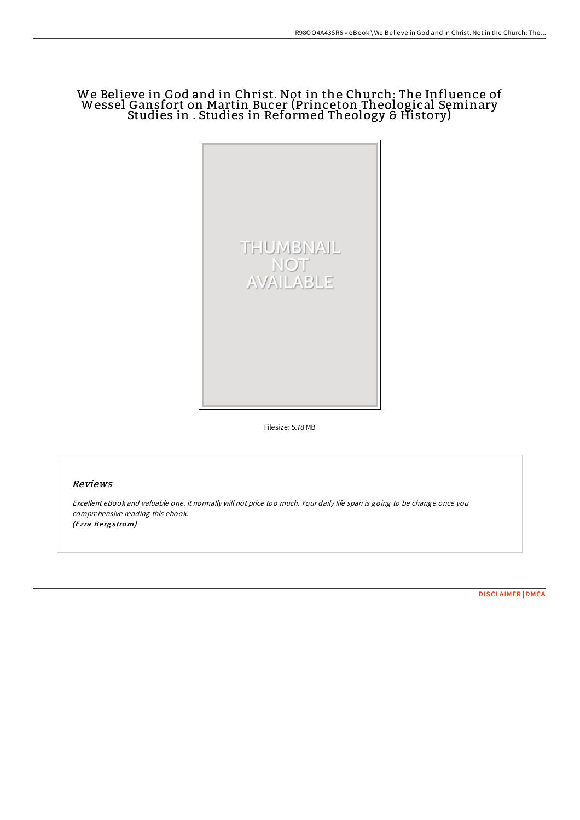# We Believe in God and in Christ. Not in the Church: The Influence of Wessel Gansfort on Martin Bucer (Princeton Theological Seminary Studies in . Studies in Reformed Theology & History)



Filesize: 5.78 MB

# Reviews

Excellent eBook and valuable one. It normally will not price too much. Your daily life span is going to be change once you comprehensive reading this ebook. (Ezra Bergstrom)

[DISCLAIMER](http://almighty24.tech/disclaimer.html) | [DMCA](http://almighty24.tech/dmca.html)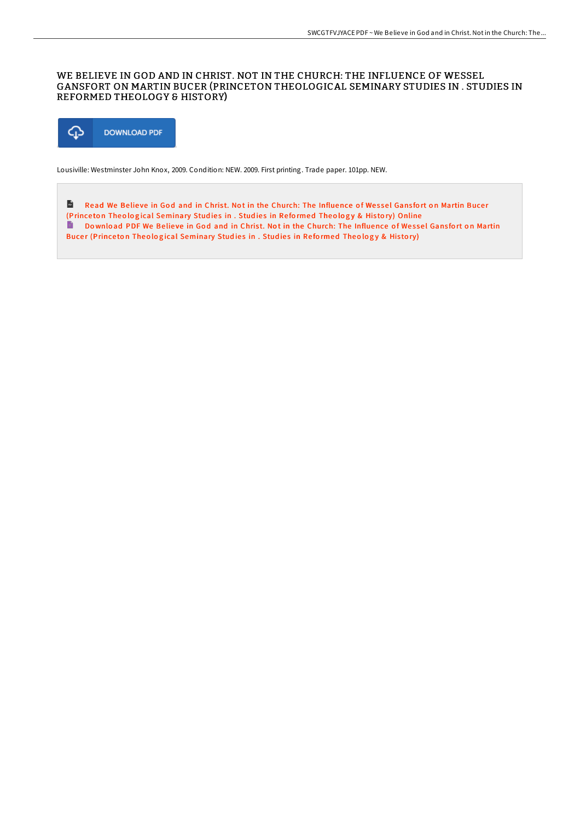# WE BELIEVE IN GOD AND IN CHRIST. NOT IN THE CHURCH: THE INFLUENCE OF WESSEL GANSFORT ON MARTIN BUCER (PRINCETON THEOLOGICAL SEMINARY STUDIES IN . STUDIES IN REFORMED THEOLOGY & HISTORY)



Lousiville: Westminster John Knox, 2009. Condition: NEW. 2009. First printing. Trade paper. 101pp. NEW.

 $\frac{1}{156}$ Read We Believe in God and in Christ. Not in the Church: The Influence of Wessel Gansfort on Martin Bucer (Princeton Theological [Seminary](http://almighty24.tech/we-believe-in-god-and-in-christ-not-in-the-churc.html) Studies in . Studies in Reformed Theology & History) Online Do wnload PDF We Believe in God and in Christ. Not in the Church: The Influence of Wessel Gansfort on Martin Bucer (Princeton Theological [Seminary](http://almighty24.tech/we-believe-in-god-and-in-christ-not-in-the-churc.html) Studies in . Studies in Reformed Theology & History)